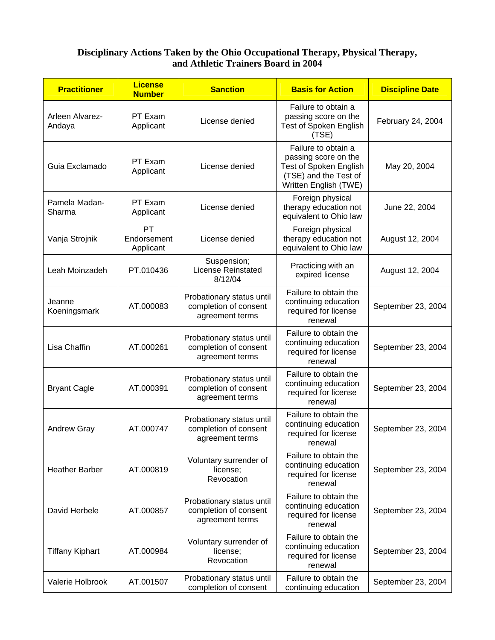## **Disciplinary Actions Taken by the Ohio Occupational Therapy, Physical Therapy, and Athletic Trainers Board in 2004**

| <b>Practitioner</b>       | <b>License</b><br><b>Number</b>       | <b>Sanction</b>                                                       | <b>Basis for Action</b>                                                                                                 | <b>Discipline Date</b> |
|---------------------------|---------------------------------------|-----------------------------------------------------------------------|-------------------------------------------------------------------------------------------------------------------------|------------------------|
| Arleen Alvarez-<br>Andaya | PT Exam<br>Applicant                  | License denied                                                        | Failure to obtain a<br>passing score on the<br><b>Test of Spoken English</b><br>(TSE)                                   | February 24, 2004      |
| Guia Exclamado            | PT Exam<br>Applicant                  | License denied                                                        | Failure to obtain a<br>passing score on the<br>Test of Spoken English<br>(TSE) and the Test of<br>Written English (TWE) | May 20, 2004           |
| Pamela Madan-<br>Sharma   | PT Exam<br>Applicant                  | License denied                                                        | Foreign physical<br>therapy education not<br>equivalent to Ohio law                                                     | June 22, 2004          |
| Vanja Strojnik            | <b>PT</b><br>Endorsement<br>Applicant | License denied                                                        | Foreign physical<br>therapy education not<br>equivalent to Ohio law                                                     | August 12, 2004        |
| Leah Moinzadeh            | PT.010436                             | Suspension;<br><b>License Reinstated</b><br>8/12/04                   | Practicing with an<br>expired license                                                                                   | August 12, 2004        |
| Jeanne<br>Koeningsmark    | AT.000083                             | Probationary status until<br>completion of consent<br>agreement terms | Failure to obtain the<br>continuing education<br>required for license<br>renewal                                        | September 23, 2004     |
| Lisa Chaffin              | AT.000261                             | Probationary status until<br>completion of consent<br>agreement terms | Failure to obtain the<br>continuing education<br>required for license<br>renewal                                        | September 23, 2004     |
| <b>Bryant Cagle</b>       | AT.000391                             | Probationary status until<br>completion of consent<br>agreement terms | Failure to obtain the<br>continuing education<br>required for license<br>renewal                                        | September 23, 2004     |
| <b>Andrew Gray</b>        | AT.000747                             | Probationary status until<br>completion of consent<br>agreement terms | Failure to obtain the<br>continuing education<br>required for license<br>renewal                                        | September 23, 2004     |
| <b>Heather Barber</b>     | AT.000819                             | Voluntary surrender of<br>license;<br>Revocation                      | Failure to obtain the<br>continuing education<br>required for license<br>renewal                                        | September 23, 2004     |
| David Herbele             | AT.000857                             | Probationary status until<br>completion of consent<br>agreement terms | Failure to obtain the<br>continuing education<br>required for license<br>renewal                                        | September 23, 2004     |
| <b>Tiffany Kiphart</b>    | AT.000984                             | Voluntary surrender of<br>license;<br>Revocation                      | Failure to obtain the<br>continuing education<br>required for license<br>renewal                                        | September 23, 2004     |
| Valerie Holbrook          | AT.001507                             | Probationary status until<br>completion of consent                    | Failure to obtain the<br>continuing education                                                                           | September 23, 2004     |